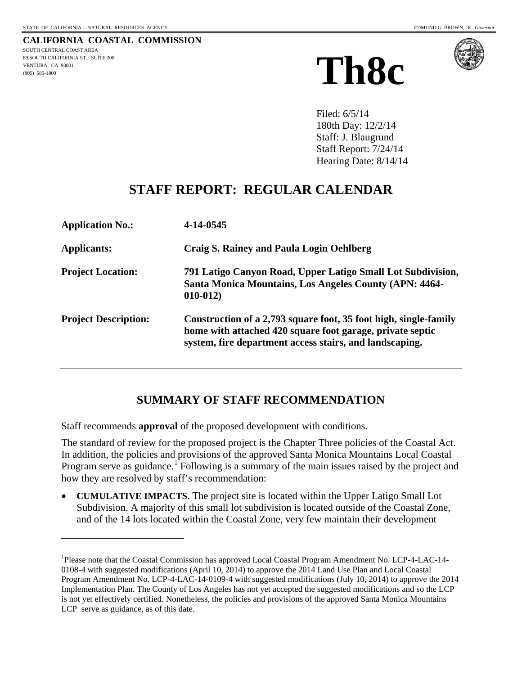$\overline{a}$ 

**CALIFORNIA COASTAL COMMISSION** SOUTH CENTRAL COAST AREA 89 SOUTH CALIFORNIA ST., SUITE 200 VENTURA, CA 93001 (805) 585-1800





Filed: 6/5/14 180th Day: 12/2/14 Staff: J. Blaugrund Staff Report: 7/24/14 Hearing Date: 8/14/14

## **STAFF REPORT: REGULAR CALENDAR**

| <b>Application No.:</b>     | 4-14-0545                                                                                                                                                                                |
|-----------------------------|------------------------------------------------------------------------------------------------------------------------------------------------------------------------------------------|
| <b>Applicants:</b>          | Craig S. Rainey and Paula Login Oehlberg                                                                                                                                                 |
| <b>Project Location:</b>    | 791 Latigo Canyon Road, Upper Latigo Small Lot Subdivision,<br>Santa Monica Mountains, Los Angeles County (APN: 4464-<br>$010-012$                                                       |
| <b>Project Description:</b> | Construction of a 2,793 square foot, 35 foot high, single-family<br>home with attached 420 square foot garage, private septic<br>system, fire department access stairs, and landscaping. |

## **SUMMARY OF STAFF RECOMMENDATION**

Staff recommends **approval** of the proposed development with conditions.

The standard of review for the proposed project is the Chapter Three policies of the Coastal Act. In addition, the policies and provisions of the approved Santa Monica Mountains Local Coastal Program serve as guidance.<sup>[1](#page-0-0)</sup> Following is a summary of the main issues raised by the project and how they are resolved by staff's recommendation:

• **CUMULATIVE IMPACTS.** The project site is located within the Upper Latigo Small Lot Subdivision. A majority of this small lot subdivision is located outside of the Coastal Zone, and of the 14 lots located within the Coastal Zone, very few maintain their development

<span id="page-0-0"></span><sup>&</sup>lt;sup>1</sup>Please note that the Coastal Commission has approved Local Coastal Program Amendment No. LCP-4-LAC-14-0108-4 with suggested modifications (April 10, 2014) to approve the 2014 Land Use Plan and Local Coastal Program Amendment No. LCP-4-LAC-14-0109-4 with suggested modifications (July 10, 2014) to approve the 2014 Implementation Plan. The County of Los Angeles has not yet accepted the suggested modifications and so the LCP is not yet effectively certified. Nonetheless, the policies and provisions of the approved Santa Monica Mountains LCP serve as guidance, as of this date.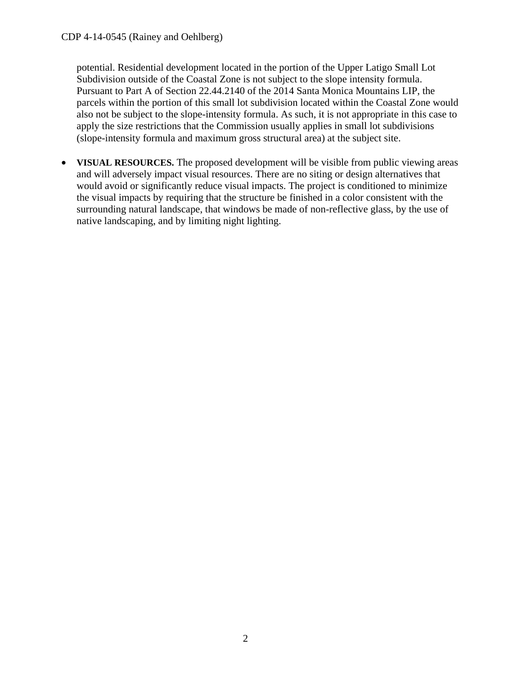potential. Residential development located in the portion of the Upper Latigo Small Lot Subdivision outside of the Coastal Zone is not subject to the slope intensity formula. Pursuant to Part A of Section 22.44.2140 of the 2014 Santa Monica Mountains LIP, the parcels within the portion of this small lot subdivision located within the Coastal Zone would also not be subject to the slope-intensity formula. As such, it is not appropriate in this case to apply the size restrictions that the Commission usually applies in small lot subdivisions (slope-intensity formula and maximum gross structural area) at the subject site.

• **VISUAL RESOURCES.** The proposed development will be visible from public viewing areas and will adversely impact visual resources. There are no siting or design alternatives that would avoid or significantly reduce visual impacts. The project is conditioned to minimize the visual impacts by requiring that the structure be finished in a color consistent with the surrounding natural landscape, that windows be made of non-reflective glass, by the use of native landscaping, and by limiting night lighting.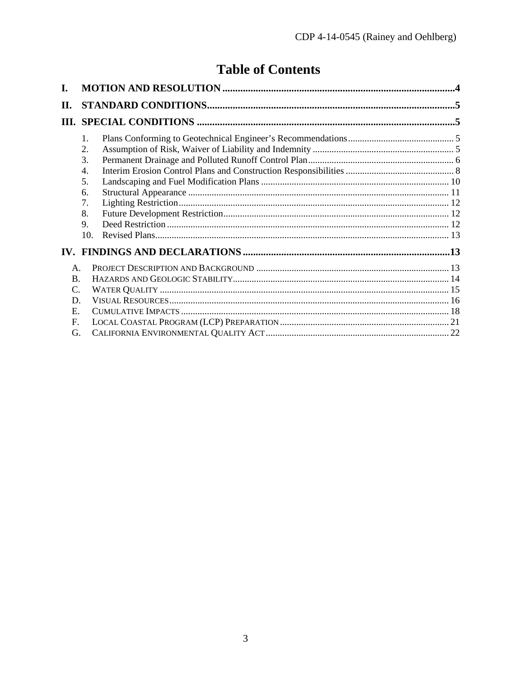# **Table of Contents**

| 1.               |  |
|------------------|--|
| 2.               |  |
| 3.               |  |
| $\overline{4}$ . |  |
| 5.               |  |
| 6.               |  |
| 7.               |  |
| 8.               |  |
| 9.               |  |
| 10.              |  |
|                  |  |
| $\mathsf{A}$ .   |  |
| $\bf{B}$ .       |  |
| C.               |  |
| D.               |  |
| $E_{\rm{L}}$     |  |
| F.               |  |
| G.               |  |
|                  |  |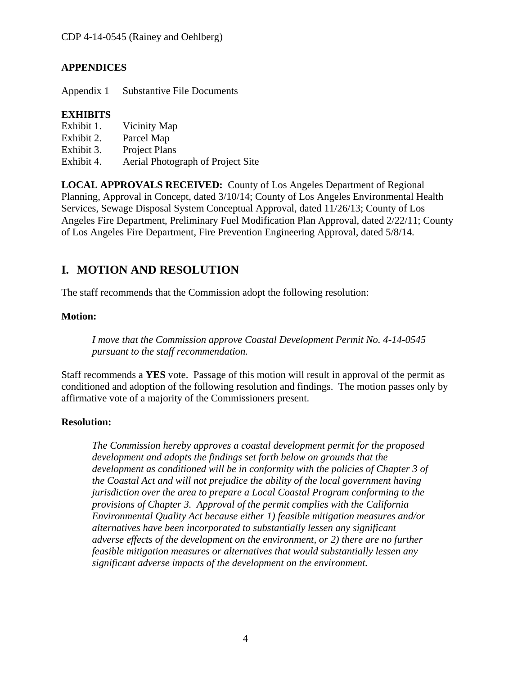## **APPENDICES**

Appendix 1 Substantive File Documents

### **EXHIBITS**

- Exhibit 1. Vicinity Map
- Exhibit 2. Parcel Map
- Exhibit 3. Project Plans
- Exhibit 4. Aerial Photograph of Project Site

**LOCAL APPROVALS RECEIVED:** County of Los Angeles Department of Regional Planning, Approval in Concept, dated 3/10/14; County of Los Angeles Environmental Health Services, Sewage Disposal System Conceptual Approval, dated 11/26/13; County of Los Angeles Fire Department, Preliminary Fuel Modification Plan Approval, dated 2/22/11; County of Los Angeles Fire Department, Fire Prevention Engineering Approval, dated 5/8/14.

## <span id="page-3-0"></span>**I. MOTION AND RESOLUTION**

The staff recommends that the Commission adopt the following resolution:

### **Motion:**

*I move that the Commission approve Coastal Development Permit No. 4-14-0545 pursuant to the staff recommendation.*

Staff recommends a **YES** vote. Passage of this motion will result in approval of the permit as conditioned and adoption of the following resolution and findings. The motion passes only by affirmative vote of a majority of the Commissioners present.

### **Resolution:**

*The Commission hereby approves a coastal development permit for the proposed development and adopts the findings set forth below on grounds that the development as conditioned will be in conformity with the policies of Chapter 3 of the Coastal Act and will not prejudice the ability of the local government having jurisdiction over the area to prepare a Local Coastal Program conforming to the provisions of Chapter 3. Approval of the permit complies with the California Environmental Quality Act because either 1) feasible mitigation measures and/or alternatives have been incorporated to substantially lessen any significant adverse effects of the development on the environment, or 2) there are no further feasible mitigation measures or alternatives that would substantially lessen any significant adverse impacts of the development on the environment.*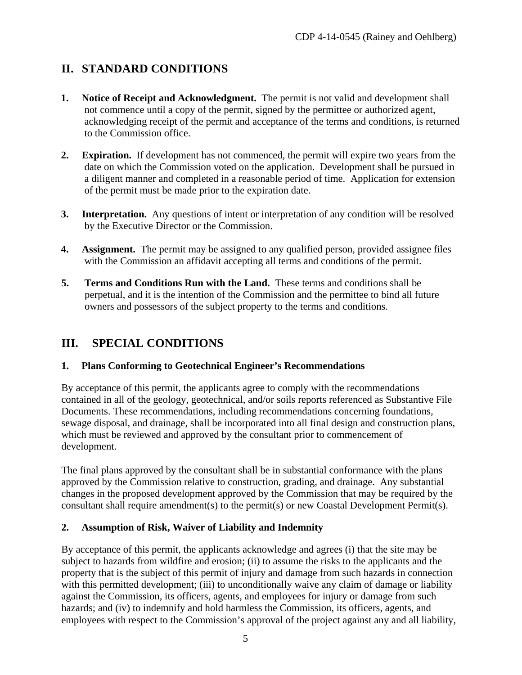## <span id="page-4-0"></span>**II. STANDARD CONDITIONS**

- **1. Notice of Receipt and Acknowledgment.** The permit is not valid and development shall not commence until a copy of the permit, signed by the permittee or authorized agent, acknowledging receipt of the permit and acceptance of the terms and conditions, is returned to the Commission office.
- **2. Expiration.** If development has not commenced, the permit will expire two years from the date on which the Commission voted on the application. Development shall be pursued in a diligent manner and completed in a reasonable period of time. Application for extension of the permit must be made prior to the expiration date.
- **3. Interpretation.** Any questions of intent or interpretation of any condition will be resolved by the Executive Director or the Commission.
- **4. Assignment.** The permit may be assigned to any qualified person, provided assignee files with the Commission an affidavit accepting all terms and conditions of the permit.
- **5. Terms and Conditions Run with the Land.** These terms and conditions shall be perpetual, and it is the intention of the Commission and the permittee to bind all future owners and possessors of the subject property to the terms and conditions.

## <span id="page-4-1"></span>**III. SPECIAL CONDITIONS**

### <span id="page-4-2"></span>**1. Plans Conforming to Geotechnical Engineer's Recommendations**

By acceptance of this permit, the applicants agree to comply with the recommendations contained in all of the geology, geotechnical, and/or soils reports referenced as Substantive File Documents. These recommendations, including recommendations concerning foundations, sewage disposal, and drainage, shall be incorporated into all final design and construction plans, which must be reviewed and approved by the consultant prior to commencement of development.

The final plans approved by the consultant shall be in substantial conformance with the plans approved by the Commission relative to construction, grading, and drainage. Any substantial changes in the proposed development approved by the Commission that may be required by the consultant shall require amendment(s) to the permit(s) or new Coastal Development Permit(s).

### <span id="page-4-3"></span>**2. Assumption of Risk, Waiver of Liability and Indemnity**

By acceptance of this permit, the applicants acknowledge and agrees (i) that the site may be subject to hazards from wildfire and erosion; (ii) to assume the risks to the applicants and the property that is the subject of this permit of injury and damage from such hazards in connection with this permitted development; (iii) to unconditionally waive any claim of damage or liability against the Commission, its officers, agents, and employees for injury or damage from such hazards; and (iv) to indemnify and hold harmless the Commission, its officers, agents, and employees with respect to the Commission's approval of the project against any and all liability,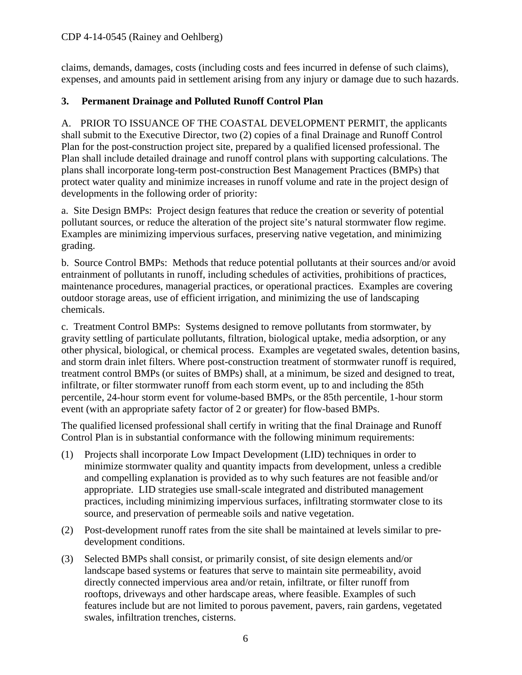claims, demands, damages, costs (including costs and fees incurred in defense of such claims), expenses, and amounts paid in settlement arising from any injury or damage due to such hazards.

## <span id="page-5-0"></span>**3. Permanent Drainage and Polluted Runoff Control Plan**

A. PRIOR TO ISSUANCE OF THE COASTAL DEVELOPMENT PERMIT, the applicants shall submit to the Executive Director, two (2) copies of a final Drainage and Runoff Control Plan for the post-construction project site, prepared by a qualified licensed professional. The Plan shall include detailed drainage and runoff control plans with supporting calculations. The plans shall incorporate long-term post-construction Best Management Practices (BMPs) that protect water quality and minimize increases in runoff volume and rate in the project design of developments in the following order of priority:

a. Site Design BMPs: Project design features that reduce the creation or severity of potential pollutant sources, or reduce the alteration of the project site's natural stormwater flow regime. Examples are minimizing impervious surfaces, preserving native vegetation, and minimizing grading.

b. Source Control BMPs: Methods that reduce potential pollutants at their sources and/or avoid entrainment of pollutants in runoff, including schedules of activities, prohibitions of practices, maintenance procedures, managerial practices, or operational practices. Examples are covering outdoor storage areas, use of efficient irrigation, and minimizing the use of landscaping chemicals.

c. Treatment Control BMPs: Systems designed to remove pollutants from stormwater, by gravity settling of particulate pollutants, filtration, biological uptake, media adsorption, or any other physical, biological, or chemical process. Examples are vegetated swales, detention basins, and storm drain inlet filters. Where post-construction treatment of stormwater runoff is required, treatment control BMPs (or suites of BMPs) shall, at a minimum, be sized and designed to treat, infiltrate, or filter stormwater runoff from each storm event, up to and including the 85th percentile, 24-hour storm event for volume-based BMPs, or the 85th percentile, 1-hour storm event (with an appropriate safety factor of 2 or greater) for flow-based BMPs.

The qualified licensed professional shall certify in writing that the final Drainage and Runoff Control Plan is in substantial conformance with the following minimum requirements:

- (1) Projects shall incorporate Low Impact Development (LID) techniques in order to minimize stormwater quality and quantity impacts from development, unless a credible and compelling explanation is provided as to why such features are not feasible and/or appropriate. LID strategies use small-scale integrated and distributed management practices, including minimizing impervious surfaces, infiltrating stormwater close to its source, and preservation of permeable soils and native vegetation.
- (2) Post-development runoff rates from the site shall be maintained at levels similar to predevelopment conditions.
- (3) Selected BMPs shall consist, or primarily consist, of site design elements and/or landscape based systems or features that serve to maintain site permeability, avoid directly connected impervious area and/or retain, infiltrate, or filter runoff from rooftops, driveways and other hardscape areas, where feasible. Examples of such features include but are not limited to porous pavement, pavers, rain gardens, vegetated swales, infiltration trenches, cisterns.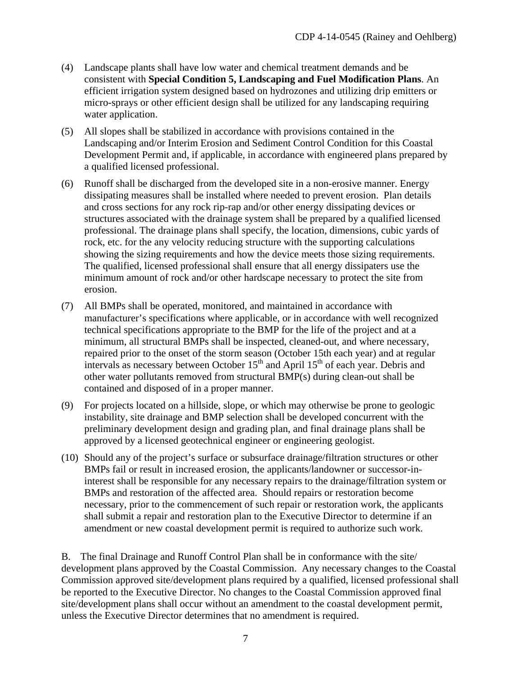- (4) Landscape plants shall have low water and chemical treatment demands and be consistent with **Special Condition 5, Landscaping and Fuel Modification Plans**. An efficient irrigation system designed based on hydrozones and utilizing drip emitters or micro-sprays or other efficient design shall be utilized for any landscaping requiring water application.
- (5) All slopes shall be stabilized in accordance with provisions contained in the Landscaping and/or Interim Erosion and Sediment Control Condition for this Coastal Development Permit and, if applicable, in accordance with engineered plans prepared by a qualified licensed professional.
- (6) Runoff shall be discharged from the developed site in a non-erosive manner. Energy dissipating measures shall be installed where needed to prevent erosion. Plan details and cross sections for any rock rip-rap and/or other energy dissipating devices or structures associated with the drainage system shall be prepared by a qualified licensed professional. The drainage plans shall specify, the location, dimensions, cubic yards of rock, etc. for the any velocity reducing structure with the supporting calculations showing the sizing requirements and how the device meets those sizing requirements. The qualified, licensed professional shall ensure that all energy dissipaters use the minimum amount of rock and/or other hardscape necessary to protect the site from erosion.
- (7) All BMPs shall be operated, monitored, and maintained in accordance with manufacturer's specifications where applicable, or in accordance with well recognized technical specifications appropriate to the BMP for the life of the project and at a minimum, all structural BMPs shall be inspected, cleaned-out, and where necessary, repaired prior to the onset of the storm season (October 15th each year) and at regular intervals as necessary between October  $15<sup>th</sup>$  and April  $15<sup>th</sup>$  of each year. Debris and other water pollutants removed from structural BMP(s) during clean-out shall be contained and disposed of in a proper manner.
- (9) For projects located on a hillside, slope, or which may otherwise be prone to geologic instability, site drainage and BMP selection shall be developed concurrent with the preliminary development design and grading plan, and final drainage plans shall be approved by a licensed geotechnical engineer or engineering geologist.
- (10) Should any of the project's surface or subsurface drainage/filtration structures or other BMPs fail or result in increased erosion, the applicants/landowner or successor-ininterest shall be responsible for any necessary repairs to the drainage/filtration system or BMPs and restoration of the affected area. Should repairs or restoration become necessary, prior to the commencement of such repair or restoration work, the applicants shall submit a repair and restoration plan to the Executive Director to determine if an amendment or new coastal development permit is required to authorize such work.

B. The final Drainage and Runoff Control Plan shall be in conformance with the site/ development plans approved by the Coastal Commission. Any necessary changes to the Coastal Commission approved site/development plans required by a qualified, licensed professional shall be reported to the Executive Director. No changes to the Coastal Commission approved final site/development plans shall occur without an amendment to the coastal development permit, unless the Executive Director determines that no amendment is required.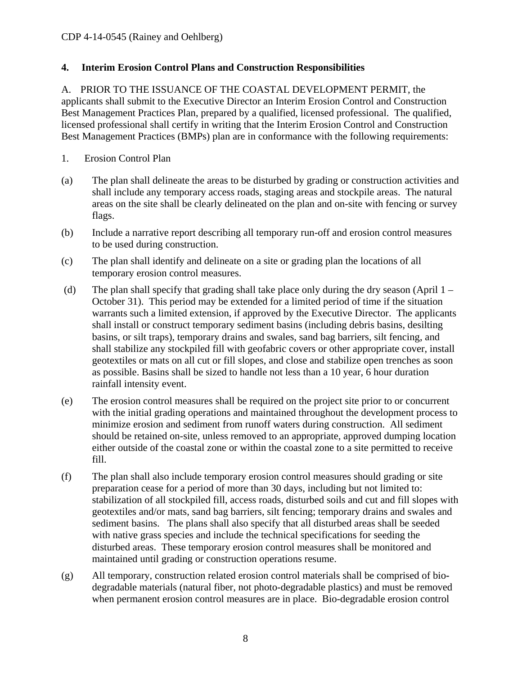### <span id="page-7-0"></span>**4. Interim Erosion Control Plans and Construction Responsibilities**

A. PRIOR TO THE ISSUANCE OF THE COASTAL DEVELOPMENT PERMIT, the applicants shall submit to the Executive Director an Interim Erosion Control and Construction Best Management Practices Plan, prepared by a qualified, licensed professional. The qualified, licensed professional shall certify in writing that the Interim Erosion Control and Construction Best Management Practices (BMPs) plan are in conformance with the following requirements:

- 1. Erosion Control Plan
- (a) The plan shall delineate the areas to be disturbed by grading or construction activities and shall include any temporary access roads, staging areas and stockpile areas. The natural areas on the site shall be clearly delineated on the plan and on-site with fencing or survey flags.
- (b) Include a narrative report describing all temporary run-off and erosion control measures to be used during construction.
- (c) The plan shall identify and delineate on a site or grading plan the locations of all temporary erosion control measures.
- (d) The plan shall specify that grading shall take place only during the dry season (April 1 October 31). This period may be extended for a limited period of time if the situation warrants such a limited extension, if approved by the Executive Director. The applicants shall install or construct temporary sediment basins (including debris basins, desilting basins, or silt traps), temporary drains and swales, sand bag barriers, silt fencing, and shall stabilize any stockpiled fill with geofabric covers or other appropriate cover, install geotextiles or mats on all cut or fill slopes, and close and stabilize open trenches as soon as possible. Basins shall be sized to handle not less than a 10 year, 6 hour duration rainfall intensity event.
- (e) The erosion control measures shall be required on the project site prior to or concurrent with the initial grading operations and maintained throughout the development process to minimize erosion and sediment from runoff waters during construction. All sediment should be retained on-site, unless removed to an appropriate, approved dumping location either outside of the coastal zone or within the coastal zone to a site permitted to receive fill.
- (f) The plan shall also include temporary erosion control measures should grading or site preparation cease for a period of more than 30 days, including but not limited to: stabilization of all stockpiled fill, access roads, disturbed soils and cut and fill slopes with geotextiles and/or mats, sand bag barriers, silt fencing; temporary drains and swales and sediment basins. The plans shall also specify that all disturbed areas shall be seeded with native grass species and include the technical specifications for seeding the disturbed areas. These temporary erosion control measures shall be monitored and maintained until grading or construction operations resume.
- (g) All temporary, construction related erosion control materials shall be comprised of biodegradable materials (natural fiber, not photo-degradable plastics) and must be removed when permanent erosion control measures are in place. Bio-degradable erosion control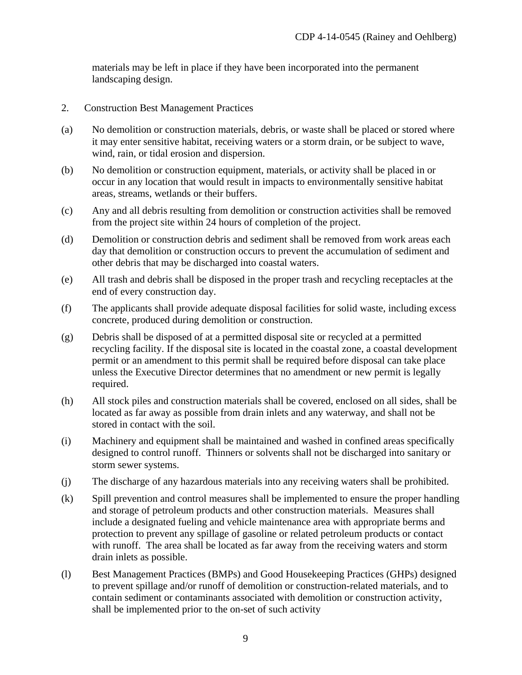materials may be left in place if they have been incorporated into the permanent landscaping design.

- 2. Construction Best Management Practices
- (a) No demolition or construction materials, debris, or waste shall be placed or stored where it may enter sensitive habitat, receiving waters or a storm drain, or be subject to wave, wind, rain, or tidal erosion and dispersion.
- (b) No demolition or construction equipment, materials, or activity shall be placed in or occur in any location that would result in impacts to environmentally sensitive habitat areas, streams, wetlands or their buffers.
- (c) Any and all debris resulting from demolition or construction activities shall be removed from the project site within 24 hours of completion of the project.
- (d) Demolition or construction debris and sediment shall be removed from work areas each day that demolition or construction occurs to prevent the accumulation of sediment and other debris that may be discharged into coastal waters.
- (e) All trash and debris shall be disposed in the proper trash and recycling receptacles at the end of every construction day.
- (f) The applicants shall provide adequate disposal facilities for solid waste, including excess concrete, produced during demolition or construction.
- (g) Debris shall be disposed of at a permitted disposal site or recycled at a permitted recycling facility. If the disposal site is located in the coastal zone, a coastal development permit or an amendment to this permit shall be required before disposal can take place unless the Executive Director determines that no amendment or new permit is legally required.
- (h) All stock piles and construction materials shall be covered, enclosed on all sides, shall be located as far away as possible from drain inlets and any waterway, and shall not be stored in contact with the soil.
- (i) Machinery and equipment shall be maintained and washed in confined areas specifically designed to control runoff. Thinners or solvents shall not be discharged into sanitary or storm sewer systems.
- (j) The discharge of any hazardous materials into any receiving waters shall be prohibited.
- (k) Spill prevention and control measures shall be implemented to ensure the proper handling and storage of petroleum products and other construction materials. Measures shall include a designated fueling and vehicle maintenance area with appropriate berms and protection to prevent any spillage of gasoline or related petroleum products or contact with runoff. The area shall be located as far away from the receiving waters and storm drain inlets as possible.
- (l) Best Management Practices (BMPs) and Good Housekeeping Practices (GHPs) designed to prevent spillage and/or runoff of demolition or construction-related materials, and to contain sediment or contaminants associated with demolition or construction activity, shall be implemented prior to the on-set of such activity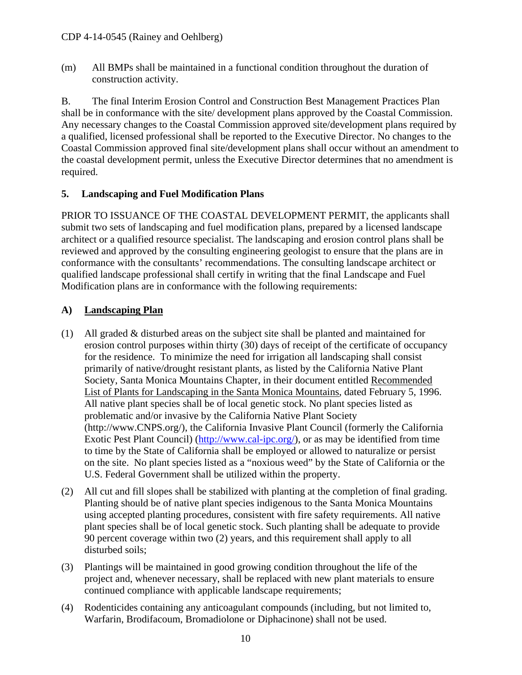(m) All BMPs shall be maintained in a functional condition throughout the duration of construction activity.

B. The final Interim Erosion Control and Construction Best Management Practices Plan shall be in conformance with the site/ development plans approved by the Coastal Commission. Any necessary changes to the Coastal Commission approved site/development plans required by a qualified, licensed professional shall be reported to the Executive Director. No changes to the Coastal Commission approved final site/development plans shall occur without an amendment to the coastal development permit, unless the Executive Director determines that no amendment is required.

## <span id="page-9-0"></span>**5. Landscaping and Fuel Modification Plans**

PRIOR TO ISSUANCE OF THE COASTAL DEVELOPMENT PERMIT, the applicants shall submit two sets of landscaping and fuel modification plans, prepared by a licensed landscape architect or a qualified resource specialist. The landscaping and erosion control plans shall be reviewed and approved by the consulting engineering geologist to ensure that the plans are in conformance with the consultants' recommendations. The consulting landscape architect or qualified landscape professional shall certify in writing that the final Landscape and Fuel Modification plans are in conformance with the following requirements:

## **A) Landscaping Plan**

- (1) All graded & disturbed areas on the subject site shall be planted and maintained for erosion control purposes within thirty (30) days of receipt of the certificate of occupancy for the residence. To minimize the need for irrigation all landscaping shall consist primarily of native/drought resistant plants, as listed by the California Native Plant Society, Santa Monica Mountains Chapter, in their document entitled Recommended List of Plants for Landscaping in the Santa Monica Mountains, dated February 5, 1996. All native plant species shall be of local genetic stock. No plant species listed as problematic and/or invasive by the California Native Plant Society [\(http://www.CNPS.org/\)](http://www.cnps.org/), the California Invasive Plant Council (formerly the California Exotic Pest Plant Council) [\(http://www.cal-ipc.org/\)](http://www.cal-ipc.org/), or as may be identified from time to time by the State of California shall be employed or allowed to naturalize or persist on the site. No plant species listed as a "noxious weed" by the State of California or the U.S. Federal Government shall be utilized within the property.
- (2) All cut and fill slopes shall be stabilized with planting at the completion of final grading. Planting should be of native plant species indigenous to the Santa Monica Mountains using accepted planting procedures, consistent with fire safety requirements. All native plant species shall be of local genetic stock. Such planting shall be adequate to provide 90 percent coverage within two (2) years, and this requirement shall apply to all disturbed soils;
- (3) Plantings will be maintained in good growing condition throughout the life of the project and, whenever necessary, shall be replaced with new plant materials to ensure continued compliance with applicable landscape requirements;
- (4) Rodenticides containing any anticoagulant compounds (including, but not limited to, Warfarin, Brodifacoum, Bromadiolone or Diphacinone) shall not be used.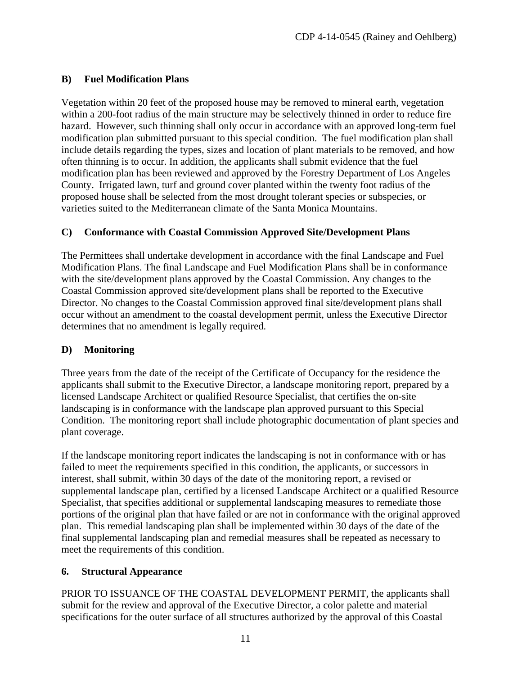## **B) Fuel Modification Plans**

Vegetation within 20 feet of the proposed house may be removed to mineral earth, vegetation within a 200-foot radius of the main structure may be selectively thinned in order to reduce fire hazard. However, such thinning shall only occur in accordance with an approved long-term fuel modification plan submitted pursuant to this special condition. The fuel modification plan shall include details regarding the types, sizes and location of plant materials to be removed, and how often thinning is to occur. In addition, the applicants shall submit evidence that the fuel modification plan has been reviewed and approved by the Forestry Department of Los Angeles County. Irrigated lawn, turf and ground cover planted within the twenty foot radius of the proposed house shall be selected from the most drought tolerant species or subspecies, or varieties suited to the Mediterranean climate of the Santa Monica Mountains.

## **C) Conformance with Coastal Commission Approved Site/Development Plans**

The Permittees shall undertake development in accordance with the final Landscape and Fuel Modification Plans. The final Landscape and Fuel Modification Plans shall be in conformance with the site/development plans approved by the Coastal Commission. Any changes to the Coastal Commission approved site/development plans shall be reported to the Executive Director. No changes to the Coastal Commission approved final site/development plans shall occur without an amendment to the coastal development permit, unless the Executive Director determines that no amendment is legally required.

### **D) Monitoring**

Three years from the date of the receipt of the Certificate of Occupancy for the residence the applicants shall submit to the Executive Director, a landscape monitoring report, prepared by a licensed Landscape Architect or qualified Resource Specialist, that certifies the on-site landscaping is in conformance with the landscape plan approved pursuant to this Special Condition. The monitoring report shall include photographic documentation of plant species and plant coverage.

If the landscape monitoring report indicates the landscaping is not in conformance with or has failed to meet the requirements specified in this condition, the applicants, or successors in interest, shall submit, within 30 days of the date of the monitoring report, a revised or supplemental landscape plan, certified by a licensed Landscape Architect or a qualified Resource Specialist, that specifies additional or supplemental landscaping measures to remediate those portions of the original plan that have failed or are not in conformance with the original approved plan. This remedial landscaping plan shall be implemented within 30 days of the date of the final supplemental landscaping plan and remedial measures shall be repeated as necessary to meet the requirements of this condition.

### <span id="page-10-0"></span>**6. Structural Appearance**

PRIOR TO ISSUANCE OF THE COASTAL DEVELOPMENT PERMIT, the applicants shall submit for the review and approval of the Executive Director, a color palette and material specifications for the outer surface of all structures authorized by the approval of this Coastal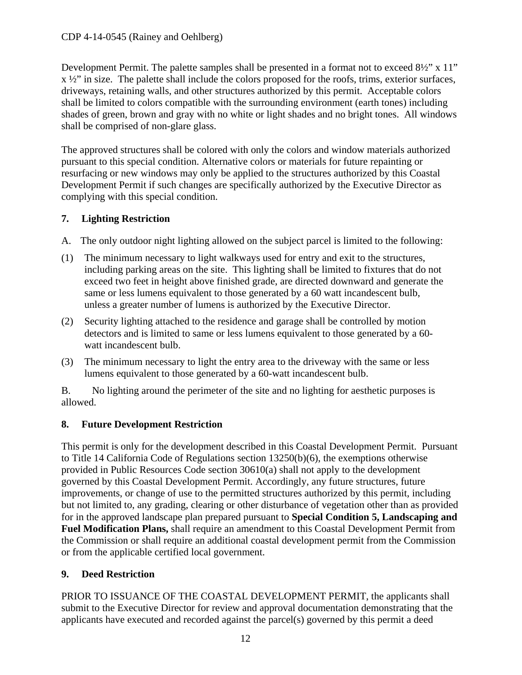### CDP 4-14-0545 (Rainey and Oehlberg)

Development Permit. The palette samples shall be presented in a format not to exceed  $8\frac{1}{2}$ " x 11" x ½" in size. The palette shall include the colors proposed for the roofs, trims, exterior surfaces, driveways, retaining walls, and other structures authorized by this permit. Acceptable colors shall be limited to colors compatible with the surrounding environment (earth tones) including shades of green, brown and gray with no white or light shades and no bright tones. All windows shall be comprised of non-glare glass.

The approved structures shall be colored with only the colors and window materials authorized pursuant to this special condition. Alternative colors or materials for future repainting or resurfacing or new windows may only be applied to the structures authorized by this Coastal Development Permit if such changes are specifically authorized by the Executive Director as complying with this special condition.

### <span id="page-11-0"></span>**7. Lighting Restriction**

- A. The only outdoor night lighting allowed on the subject parcel is limited to the following:
- (1) The minimum necessary to light walkways used for entry and exit to the structures, including parking areas on the site. This lighting shall be limited to fixtures that do not exceed two feet in height above finished grade, are directed downward and generate the same or less lumens equivalent to those generated by a 60 watt incandescent bulb, unless a greater number of lumens is authorized by the Executive Director.
- (2) Security lighting attached to the residence and garage shall be controlled by motion detectors and is limited to same or less lumens equivalent to those generated by a 60 watt incandescent bulb.
- (3) The minimum necessary to light the entry area to the driveway with the same or less lumens equivalent to those generated by a 60-watt incandescent bulb.

B. No lighting around the perimeter of the site and no lighting for aesthetic purposes is allowed.

## <span id="page-11-1"></span>**8. Future Development Restriction**

This permit is only for the development described in this Coastal Development Permit. Pursuant to Title 14 California Code of Regulations section 13250(b)(6), the exemptions otherwise provided in Public Resources Code section 30610(a) shall not apply to the development governed by this Coastal Development Permit. Accordingly, any future structures, future improvements, or change of use to the permitted structures authorized by this permit, including but not limited to, any grading, clearing or other disturbance of vegetation other than as provided for in the approved landscape plan prepared pursuant to **Special Condition 5, Landscaping and Fuel Modification Plans,** shall require an amendment to this Coastal Development Permit from the Commission or shall require an additional coastal development permit from the Commission or from the applicable certified local government.

## <span id="page-11-2"></span>**9. Deed Restriction**

PRIOR TO ISSUANCE OF THE COASTAL DEVELOPMENT PERMIT, the applicants shall submit to the Executive Director for review and approval documentation demonstrating that the applicants have executed and recorded against the parcel(s) governed by this permit a deed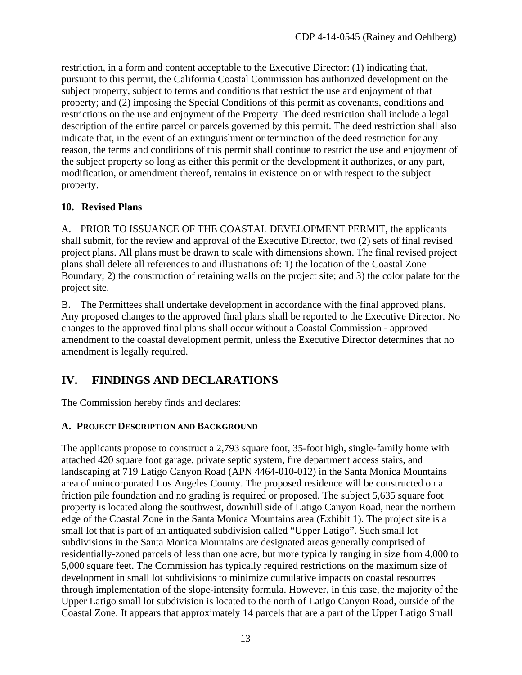restriction, in a form and content acceptable to the Executive Director: (1) indicating that, pursuant to this permit, the California Coastal Commission has authorized development on the subject property, subject to terms and conditions that restrict the use and enjoyment of that property; and (2) imposing the Special Conditions of this permit as covenants, conditions and restrictions on the use and enjoyment of the Property. The deed restriction shall include a legal description of the entire parcel or parcels governed by this permit. The deed restriction shall also indicate that, in the event of an extinguishment or termination of the deed restriction for any reason, the terms and conditions of this permit shall continue to restrict the use and enjoyment of the subject property so long as either this permit or the development it authorizes, or any part, modification, or amendment thereof, remains in existence on or with respect to the subject property.

### <span id="page-12-0"></span>**10. Revised Plans**

A. PRIOR TO ISSUANCE OF THE COASTAL DEVELOPMENT PERMIT, the applicants shall submit, for the review and approval of the Executive Director, two (2) sets of final revised project plans. All plans must be drawn to scale with dimensions shown. The final revised project plans shall delete all references to and illustrations of: 1) the location of the Coastal Zone Boundary; 2) the construction of retaining walls on the project site; and 3) the color palate for the project site.

B. The Permittees shall undertake development in accordance with the final approved plans. Any proposed changes to the approved final plans shall be reported to the Executive Director. No changes to the approved final plans shall occur without a Coastal Commission - approved amendment to the coastal development permit, unless the Executive Director determines that no amendment is legally required.

## <span id="page-12-1"></span>**IV. FINDINGS AND DECLARATIONS**

The Commission hereby finds and declares:

## <span id="page-12-2"></span>**A. PROJECT DESCRIPTION AND BACKGROUND**

The applicants propose to construct a 2,793 square foot, 35-foot high, single-family home with attached 420 square foot garage, private septic system, fire department access stairs, and landscaping at 719 Latigo Canyon Road (APN 4464-010-012) in the Santa Monica Mountains area of unincorporated Los Angeles County. The proposed residence will be constructed on a friction pile foundation and no grading is required or proposed. The subject 5,635 square foot property is located along the southwest, downhill side of Latigo Canyon Road, near the northern edge of the Coastal Zone in the Santa Monica Mountains area (Exhibit 1). The project site is a small lot that is part of an antiquated subdivision called "Upper Latigo". Such small lot subdivisions in the Santa Monica Mountains are designated areas generally comprised of residentially-zoned parcels of less than one acre, but more typically ranging in size from 4,000 to 5,000 square feet. The Commission has typically required restrictions on the maximum size of development in small lot subdivisions to minimize cumulative impacts on coastal resources through implementation of the slope-intensity formula. However, in this case, the majority of the Upper Latigo small lot subdivision is located to the north of Latigo Canyon Road, outside of the Coastal Zone. It appears that approximately 14 parcels that are a part of the Upper Latigo Small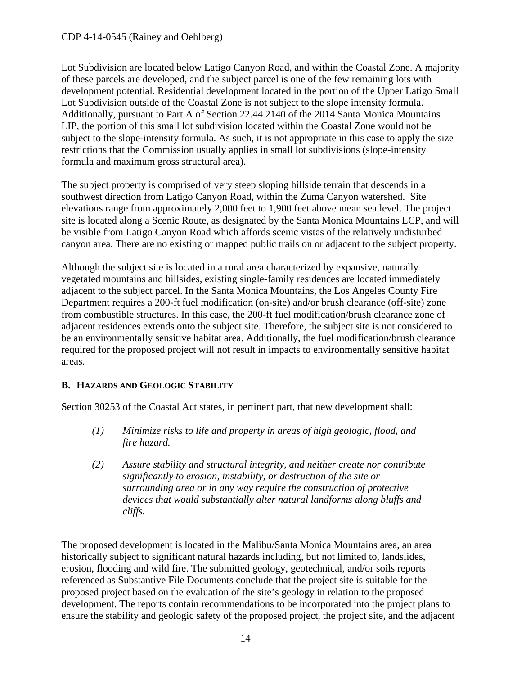#### CDP 4-14-0545 (Rainey and Oehlberg)

Lot Subdivision are located below Latigo Canyon Road, and within the Coastal Zone. A majority of these parcels are developed, and the subject parcel is one of the few remaining lots with development potential. Residential development located in the portion of the Upper Latigo Small Lot Subdivision outside of the Coastal Zone is not subject to the slope intensity formula. Additionally, pursuant to Part A of Section 22.44.2140 of the 2014 Santa Monica Mountains LIP, the portion of this small lot subdivision located within the Coastal Zone would not be subject to the slope-intensity formula. As such, it is not appropriate in this case to apply the size restrictions that the Commission usually applies in small lot subdivisions (slope-intensity formula and maximum gross structural area).

The subject property is comprised of very steep sloping hillside terrain that descends in a southwest direction from Latigo Canyon Road, within the Zuma Canyon watershed. Site elevations range from approximately 2,000 feet to 1,900 feet above mean sea level. The project site is located along a Scenic Route, as designated by the Santa Monica Mountains LCP, and will be visible from Latigo Canyon Road which affords scenic vistas of the relatively undisturbed canyon area. There are no existing or mapped public trails on or adjacent to the subject property.

Although the subject site is located in a rural area characterized by expansive, naturally vegetated mountains and hillsides, existing single-family residences are located immediately adjacent to the subject parcel. In the Santa Monica Mountains, the Los Angeles County Fire Department requires a 200-ft fuel modification (on-site) and/or brush clearance (off-site) zone from combustible structures. In this case, the 200-ft fuel modification/brush clearance zone of adjacent residences extends onto the subject site. Therefore, the subject site is not considered to be an environmentally sensitive habitat area. Additionally, the fuel modification/brush clearance required for the proposed project will not result in impacts to environmentally sensitive habitat areas.

### <span id="page-13-0"></span>**B. HAZARDS AND GEOLOGIC STABILITY**

Section 30253 of the Coastal Act states, in pertinent part, that new development shall:

- *(1) Minimize risks to life and property in areas of high geologic, flood, and fire hazard.*
- *(2) Assure stability and structural integrity, and neither create nor contribute significantly to erosion, instability, or destruction of the site or surrounding area or in any way require the construction of protective devices that would substantially alter natural landforms along bluffs and cliffs.*

The proposed development is located in the Malibu/Santa Monica Mountains area, an area historically subject to significant natural hazards including, but not limited to, landslides, erosion, flooding and wild fire. The submitted geology, geotechnical, and/or soils reports referenced as Substantive File Documents conclude that the project site is suitable for the proposed project based on the evaluation of the site's geology in relation to the proposed development. The reports contain recommendations to be incorporated into the project plans to ensure the stability and geologic safety of the proposed project, the project site, and the adjacent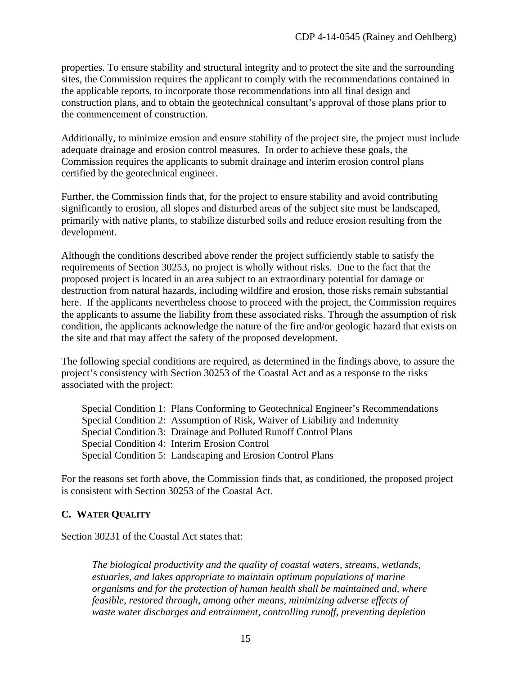properties. To ensure stability and structural integrity and to protect the site and the surrounding sites, the Commission requires the applicant to comply with the recommendations contained in the applicable reports, to incorporate those recommendations into all final design and construction plans, and to obtain the geotechnical consultant's approval of those plans prior to the commencement of construction.

Additionally, to minimize erosion and ensure stability of the project site, the project must include adequate drainage and erosion control measures. In order to achieve these goals, the Commission requires the applicants to submit drainage and interim erosion control plans certified by the geotechnical engineer.

Further, the Commission finds that, for the project to ensure stability and avoid contributing significantly to erosion, all slopes and disturbed areas of the subject site must be landscaped, primarily with native plants, to stabilize disturbed soils and reduce erosion resulting from the development.

Although the conditions described above render the project sufficiently stable to satisfy the requirements of Section 30253, no project is wholly without risks. Due to the fact that the proposed project is located in an area subject to an extraordinary potential for damage or destruction from natural hazards, including wildfire and erosion, those risks remain substantial here. If the applicants nevertheless choose to proceed with the project, the Commission requires the applicants to assume the liability from these associated risks. Through the assumption of risk condition, the applicants acknowledge the nature of the fire and/or geologic hazard that exists on the site and that may affect the safety of the proposed development.

The following special conditions are required, as determined in the findings above, to assure the project's consistency with Section 30253 of the Coastal Act and as a response to the risks associated with the project:

Special Condition 1: Plans Conforming to Geotechnical Engineer's Recommendations Special Condition 2: Assumption of Risk, Waiver of Liability and Indemnity Special Condition 3: Drainage and Polluted Runoff Control Plans Special Condition 4: Interim Erosion Control Special Condition 5: Landscaping and Erosion Control Plans

For the reasons set forth above, the Commission finds that, as conditioned, the proposed project is consistent with Section 30253 of the Coastal Act.

### <span id="page-14-0"></span>**C. WATER QUALITY**

Section 30231 of the Coastal Act states that:

*The biological productivity and the quality of coastal waters, streams, wetlands, estuaries, and lakes appropriate to maintain optimum populations of marine organisms and for the protection of human health shall be maintained and, where feasible, restored through, among other means, minimizing adverse effects of waste water discharges and entrainment, controlling runoff, preventing depletion*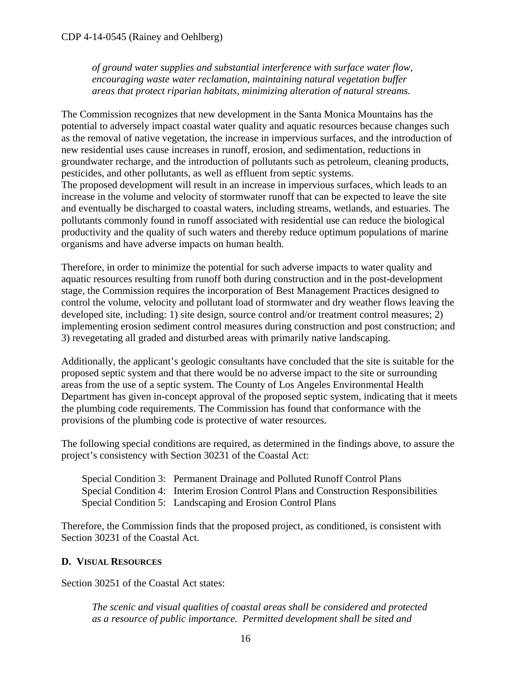*of ground water supplies and substantial interference with surface water flow, encouraging waste water reclamation, maintaining natural vegetation buffer areas that protect riparian habitats, minimizing alteration of natural streams.*

The Commission recognizes that new development in the Santa Monica Mountains has the potential to adversely impact coastal water quality and aquatic resources because changes such as the removal of native vegetation, the increase in impervious surfaces, and the introduction of new residential uses cause increases in runoff, erosion, and sedimentation, reductions in groundwater recharge, and the introduction of pollutants such as petroleum, cleaning products, pesticides, and other pollutants, as well as effluent from septic systems. The proposed development will result in an increase in impervious surfaces, which leads to an increase in the volume and velocity of stormwater runoff that can be expected to leave the site and eventually be discharged to coastal waters, including streams, wetlands, and estuaries. The pollutants commonly found in runoff associated with residential use can reduce the biological productivity and the quality of such waters and thereby reduce optimum populations of marine organisms and have adverse impacts on human health.

Therefore, in order to minimize the potential for such adverse impacts to water quality and aquatic resources resulting from runoff both during construction and in the post-development stage, the Commission requires the incorporation of Best Management Practices designed to control the volume, velocity and pollutant load of stormwater and dry weather flows leaving the developed site, including: 1) site design, source control and/or treatment control measures; 2) implementing erosion sediment control measures during construction and post construction; and 3) revegetating all graded and disturbed areas with primarily native landscaping.

Additionally, the applicant's geologic consultants have concluded that the site is suitable for the proposed septic system and that there would be no adverse impact to the site or surrounding areas from the use of a septic system. The County of Los Angeles Environmental Health Department has given in-concept approval of the proposed septic system, indicating that it meets the plumbing code requirements. The Commission has found that conformance with the provisions of the plumbing code is protective of water resources.

The following special conditions are required, as determined in the findings above, to assure the project's consistency with Section 30231 of the Coastal Act:

| Special Condition 3: Permanent Drainage and Polluted Runoff Control Plans            |
|--------------------------------------------------------------------------------------|
| Special Condition 4: Interim Erosion Control Plans and Construction Responsibilities |
| Special Condition 5: Landscaping and Erosion Control Plans                           |

Therefore, the Commission finds that the proposed project, as conditioned, is consistent with Section 30231 of the Coastal Act.

### <span id="page-15-0"></span>**D. VISUAL RESOURCES**

Section 30251 of the Coastal Act states:

*The scenic and visual qualities of coastal areas shall be considered and protected as a resource of public importance. Permitted development shall be sited and*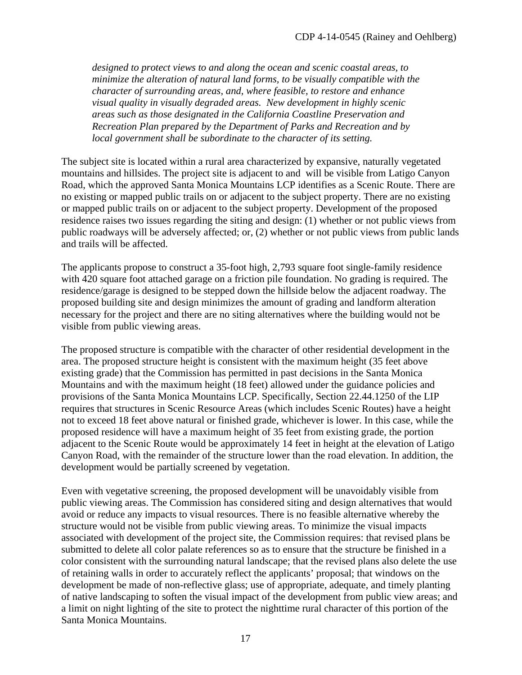*designed to protect views to and along the ocean and scenic coastal areas, to minimize the alteration of natural land forms, to be visually compatible with the character of surrounding areas, and, where feasible, to restore and enhance visual quality in visually degraded areas. New development in highly scenic areas such as those designated in the California Coastline Preservation and Recreation Plan prepared by the Department of Parks and Recreation and by local government shall be subordinate to the character of its setting.*

The subject site is located within a rural area characterized by expansive, naturally vegetated mountains and hillsides. The project site is adjacent to and will be visible from Latigo Canyon Road, which the approved Santa Monica Mountains LCP identifies as a Scenic Route. There are no existing or mapped public trails on or adjacent to the subject property. There are no existing or mapped public trails on or adjacent to the subject property. Development of the proposed residence raises two issues regarding the siting and design: (1) whether or not public views from public roadways will be adversely affected; or, (2) whether or not public views from public lands and trails will be affected.

The applicants propose to construct a 35-foot high, 2,793 square foot single-family residence with 420 square foot attached garage on a friction pile foundation. No grading is required. The residence/garage is designed to be stepped down the hillside below the adjacent roadway. The proposed building site and design minimizes the amount of grading and landform alteration necessary for the project and there are no siting alternatives where the building would not be visible from public viewing areas.

The proposed structure is compatible with the character of other residential development in the area. The proposed structure height is consistent with the maximum height (35 feet above existing grade) that the Commission has permitted in past decisions in the Santa Monica Mountains and with the maximum height (18 feet) allowed under the guidance policies and provisions of the Santa Monica Mountains LCP. Specifically, Section 22.44.1250 of the LIP requires that structures in Scenic Resource Areas (which includes Scenic Routes) have a height not to exceed 18 feet above natural or finished grade, whichever is lower. In this case, while the proposed residence will have a maximum height of 35 feet from existing grade, the portion adjacent to the Scenic Route would be approximately 14 feet in height at the elevation of Latigo Canyon Road, with the remainder of the structure lower than the road elevation. In addition, the development would be partially screened by vegetation.

Even with vegetative screening, the proposed development will be unavoidably visible from public viewing areas. The Commission has considered siting and design alternatives that would avoid or reduce any impacts to visual resources. There is no feasible alternative whereby the structure would not be visible from public viewing areas. To minimize the visual impacts associated with development of the project site, the Commission requires: that revised plans be submitted to delete all color palate references so as to ensure that the structure be finished in a color consistent with the surrounding natural landscape; that the revised plans also delete the use of retaining walls in order to accurately reflect the applicants' proposal; that windows on the development be made of non-reflective glass; use of appropriate, adequate, and timely planting of native landscaping to soften the visual impact of the development from public view areas; and a limit on night lighting of the site to protect the nighttime rural character of this portion of the Santa Monica Mountains.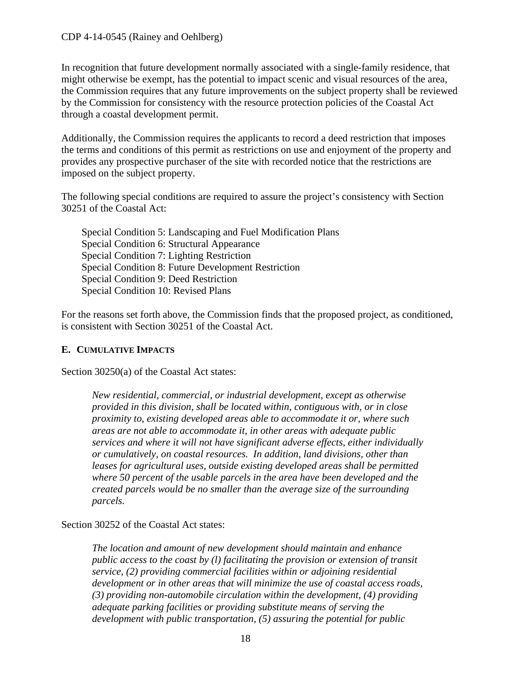In recognition that future development normally associated with a single-family residence, that might otherwise be exempt, has the potential to impact scenic and visual resources of the area, the Commission requires that any future improvements on the subject property shall be reviewed by the Commission for consistency with the resource protection policies of the Coastal Act through a coastal development permit.

Additionally, the Commission requires the applicants to record a deed restriction that imposes the terms and conditions of this permit as restrictions on use and enjoyment of the property and provides any prospective purchaser of the site with recorded notice that the restrictions are imposed on the subject property.

The following special conditions are required to assure the project's consistency with Section 30251 of the Coastal Act:

Special Condition 5: Landscaping and Fuel Modification Plans Special Condition 6: Structural Appearance Special Condition 7: Lighting Restriction Special Condition 8: Future Development Restriction Special Condition 9: Deed Restriction Special Condition 10: Revised Plans

For the reasons set forth above, the Commission finds that the proposed project, as conditioned, is consistent with Section 30251 of the Coastal Act.

## <span id="page-17-0"></span>**E. CUMULATIVE IMPACTS**

Section 30250(a) of the Coastal Act states:

*New residential, commercial, or industrial development, except as otherwise provided in this division, shall be located within, contiguous with, or in close proximity to, existing developed areas able to accommodate it or, where such areas are not able to accommodate it, in other areas with adequate public services and where it will not have significant adverse effects, either individually or cumulatively, on coastal resources. In addition, land divisions, other than leases for agricultural uses, outside existing developed areas shall be permitted where 50 percent of the usable parcels in the area have been developed and the created parcels would be no smaller than the average size of the surrounding parcels.* 

Section 30252 of the Coastal Act states:

*The location and amount of new development should maintain and enhance public access to the coast by (l) facilitating the provision or extension of transit service, (2) providing commercial facilities within or adjoining residential development or in other areas that will minimize the use of coastal access roads, (3) providing non-automobile circulation within the development, (4) providing adequate parking facilities or providing substitute means of serving the development with public transportation, (5) assuring the potential for public*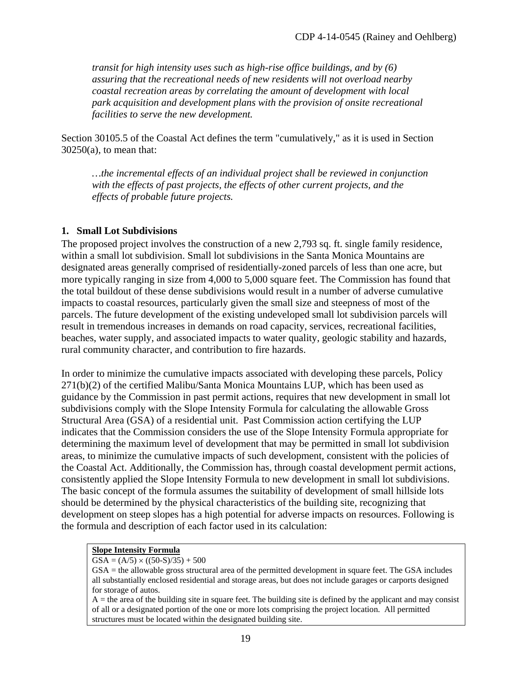*transit for high intensity uses such as high-rise office buildings, and by (6) assuring that the recreational needs of new residents will not overload nearby coastal recreation areas by correlating the amount of development with local park acquisition and development plans with the provision of onsite recreational facilities to serve the new development.* 

Section 30105.5 of the Coastal Act defines the term "cumulatively," as it is used in Section  $30250(a)$ , to mean that:

*…the incremental effects of an individual project shall be reviewed in conjunction with the effects of past projects, the effects of other current projects, and the effects of probable future projects.*

### **1. Small Lot Subdivisions**

The proposed project involves the construction of a new 2,793 sq. ft. single family residence, within a small lot subdivision. Small lot subdivisions in the Santa Monica Mountains are designated areas generally comprised of residentially-zoned parcels of less than one acre, but more typically ranging in size from 4,000 to 5,000 square feet. The Commission has found that the total buildout of these dense subdivisions would result in a number of adverse cumulative impacts to coastal resources, particularly given the small size and steepness of most of the parcels. The future development of the existing undeveloped small lot subdivision parcels will result in tremendous increases in demands on road capacity, services, recreational facilities, beaches, water supply, and associated impacts to water quality, geologic stability and hazards, rural community character, and contribution to fire hazards.

In order to minimize the cumulative impacts associated with developing these parcels, Policy 271(b)(2) of the certified Malibu/Santa Monica Mountains LUP, which has been used as guidance by the Commission in past permit actions, requires that new development in small lot subdivisions comply with the Slope Intensity Formula for calculating the allowable Gross Structural Area (GSA) of a residential unit. Past Commission action certifying the LUP indicates that the Commission considers the use of the Slope Intensity Formula appropriate for determining the maximum level of development that may be permitted in small lot subdivision areas, to minimize the cumulative impacts of such development, consistent with the policies of the Coastal Act. Additionally, the Commission has, through coastal development permit actions, consistently applied the Slope Intensity Formula to new development in small lot subdivisions. The basic concept of the formula assumes the suitability of development of small hillside lots should be determined by the physical characteristics of the building site, recognizing that development on steep slopes has a high potential for adverse impacts on resources. Following is the formula and description of each factor used in its calculation:

#### **Slope Intensity Formula**

#### $GSA = (A/5) \times ((50-S)/35) + 500$

GSA = the allowable gross structural area of the permitted development in square feet. The GSA includes all substantially enclosed residential and storage areas, but does not include garages or carports designed for storage of autos.

 $A =$  the area of the building site in square feet. The building site is defined by the applicant and may consist of all or a designated portion of the one or more lots comprising the project location. All permitted structures must be located within the designated building site.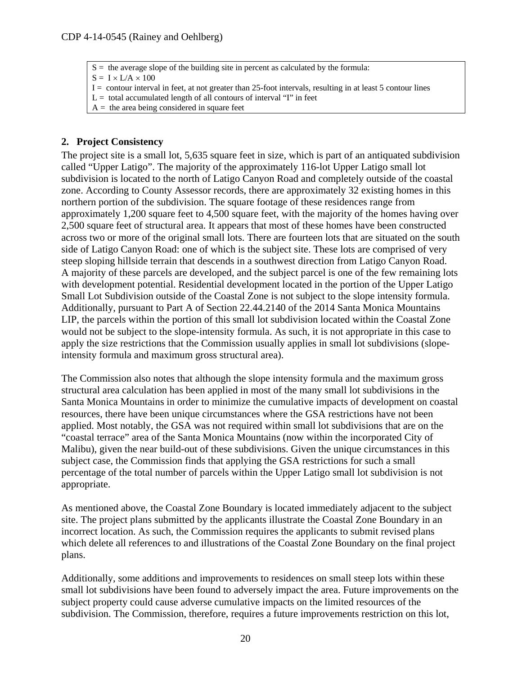$S =$  the average slope of the building site in percent as calculated by the formula:

 $S = I \times L/A \times 100$ 

I = contour interval in feet, at not greater than 25-foot intervals, resulting in at least 5 contour lines

- $L =$  total accumulated length of all contours of interval "I" in feet
- $A =$  the area being considered in square feet

#### **2. Project Consistency**

The project site is a small lot, 5,635 square feet in size, which is part of an antiquated subdivision called "Upper Latigo". The majority of the approximately 116-lot Upper Latigo small lot subdivision is located to the north of Latigo Canyon Road and completely outside of the coastal zone. According to County Assessor records, there are approximately 32 existing homes in this northern portion of the subdivision. The square footage of these residences range from approximately 1,200 square feet to 4,500 square feet, with the majority of the homes having over 2,500 square feet of structural area. It appears that most of these homes have been constructed across two or more of the original small lots. There are fourteen lots that are situated on the south side of Latigo Canyon Road: one of which is the subject site. These lots are comprised of very steep sloping hillside terrain that descends in a southwest direction from Latigo Canyon Road. A majority of these parcels are developed, and the subject parcel is one of the few remaining lots with development potential. Residential development located in the portion of the Upper Latigo Small Lot Subdivision outside of the Coastal Zone is not subject to the slope intensity formula. Additionally, pursuant to Part A of Section 22.44.2140 of the 2014 Santa Monica Mountains LIP, the parcels within the portion of this small lot subdivision located within the Coastal Zone would not be subject to the slope-intensity formula. As such, it is not appropriate in this case to apply the size restrictions that the Commission usually applies in small lot subdivisions (slopeintensity formula and maximum gross structural area).

The Commission also notes that although the slope intensity formula and the maximum gross structural area calculation has been applied in most of the many small lot subdivisions in the Santa Monica Mountains in order to minimize the cumulative impacts of development on coastal resources, there have been unique circumstances where the GSA restrictions have not been applied. Most notably, the GSA was not required within small lot subdivisions that are on the "coastal terrace" area of the Santa Monica Mountains (now within the incorporated City of Malibu), given the near build-out of these subdivisions. Given the unique circumstances in this subject case, the Commission finds that applying the GSA restrictions for such a small percentage of the total number of parcels within the Upper Latigo small lot subdivision is not appropriate.

As mentioned above, the Coastal Zone Boundary is located immediately adjacent to the subject site. The project plans submitted by the applicants illustrate the Coastal Zone Boundary in an incorrect location. As such, the Commission requires the applicants to submit revised plans which delete all references to and illustrations of the Coastal Zone Boundary on the final project plans.

Additionally, some additions and improvements to residences on small steep lots within these small lot subdivisions have been found to adversely impact the area. Future improvements on the subject property could cause adverse cumulative impacts on the limited resources of the subdivision. The Commission, therefore, requires a future improvements restriction on this lot,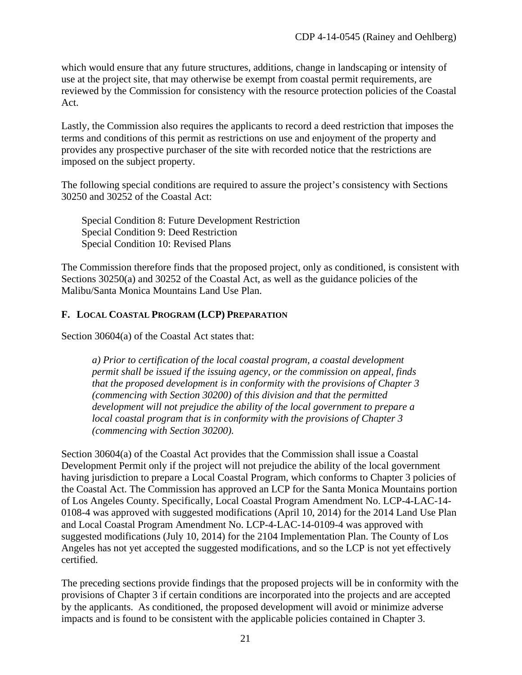which would ensure that any future structures, additions, change in landscaping or intensity of use at the project site, that may otherwise be exempt from coastal permit requirements, are reviewed by the Commission for consistency with the resource protection policies of the Coastal Act.

Lastly, the Commission also requires the applicants to record a deed restriction that imposes the terms and conditions of this permit as restrictions on use and enjoyment of the property and provides any prospective purchaser of the site with recorded notice that the restrictions are imposed on the subject property.

The following special conditions are required to assure the project's consistency with Sections 30250 and 30252 of the Coastal Act:

Special Condition 8: Future Development Restriction Special Condition 9: Deed Restriction Special Condition 10: Revised Plans

The Commission therefore finds that the proposed project, only as conditioned, is consistent with Sections 30250(a) and 30252 of the Coastal Act, as well as the guidance policies of the Malibu/Santa Monica Mountains Land Use Plan.

#### <span id="page-20-0"></span>**F. LOCAL COASTAL PROGRAM (LCP) PREPARATION**

Section 30604(a) of the Coastal Act states that:

*a) Prior to certification of the local coastal program, a coastal development permit shall be issued if the issuing agency, or the commission on appeal, finds that the proposed development is in conformity with the provisions of Chapter 3 (commencing with Section 30200) of this division and that the permitted development will not prejudice the ability of the local government to prepare a local coastal program that is in conformity with the provisions of Chapter 3 (commencing with Section 30200).*

Section 30604(a) of the Coastal Act provides that the Commission shall issue a Coastal Development Permit only if the project will not prejudice the ability of the local government having jurisdiction to prepare a Local Coastal Program, which conforms to Chapter 3 policies of the Coastal Act. The Commission has approved an LCP for the Santa Monica Mountains portion of Los Angeles County. Specifically, Local Coastal Program Amendment No. LCP-4-LAC-14- 0108-4 was approved with suggested modifications (April 10, 2014) for the 2014 Land Use Plan and Local Coastal Program Amendment No. LCP-4-LAC-14-0109-4 was approved with suggested modifications (July 10, 2014) for the 2104 Implementation Plan. The County of Los Angeles has not yet accepted the suggested modifications, and so the LCP is not yet effectively certified.

The preceding sections provide findings that the proposed projects will be in conformity with the provisions of Chapter 3 if certain conditions are incorporated into the projects and are accepted by the applicants. As conditioned, the proposed development will avoid or minimize adverse impacts and is found to be consistent with the applicable policies contained in Chapter 3.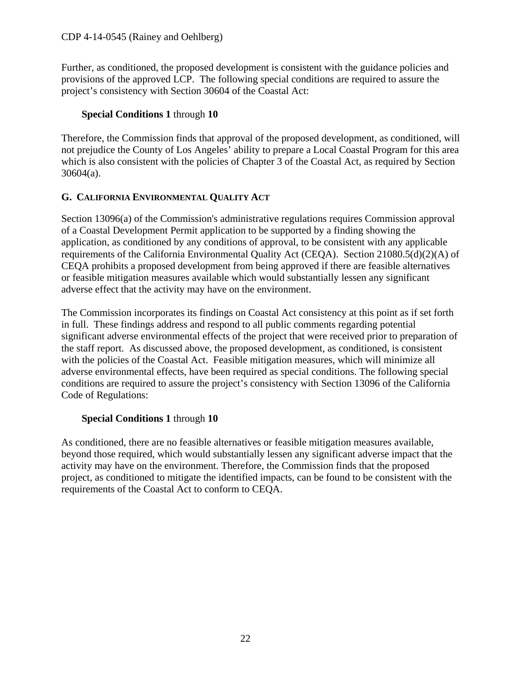Further, as conditioned, the proposed development is consistent with the guidance policies and provisions of the approved LCP. The following special conditions are required to assure the project's consistency with Section 30604 of the Coastal Act:

## **Special Conditions 1** through **10**

Therefore, the Commission finds that approval of the proposed development, as conditioned, will not prejudice the County of Los Angeles' ability to prepare a Local Coastal Program for this area which is also consistent with the policies of Chapter 3 of the Coastal Act, as required by Section 30604(a).

## <span id="page-21-0"></span>**G. CALIFORNIA ENVIRONMENTAL QUALITY ACT**

Section 13096(a) of the Commission's administrative regulations requires Commission approval of a Coastal Development Permit application to be supported by a finding showing the application, as conditioned by any conditions of approval, to be consistent with any applicable requirements of the California Environmental Quality Act (CEQA). Section 21080.5(d)(2)(A) of CEQA prohibits a proposed development from being approved if there are feasible alternatives or feasible mitigation measures available which would substantially lessen any significant adverse effect that the activity may have on the environment.

The Commission incorporates its findings on Coastal Act consistency at this point as if set forth in full. These findings address and respond to all public comments regarding potential significant adverse environmental effects of the project that were received prior to preparation of the staff report. As discussed above, the proposed development, as conditioned, is consistent with the policies of the Coastal Act. Feasible mitigation measures, which will minimize all adverse environmental effects, have been required as special conditions. The following special conditions are required to assure the project's consistency with Section 13096 of the California Code of Regulations:

## **Special Conditions 1** through **10**

As conditioned, there are no feasible alternatives or feasible mitigation measures available, beyond those required, which would substantially lessen any significant adverse impact that the activity may have on the environment. Therefore, the Commission finds that the proposed project, as conditioned to mitigate the identified impacts, can be found to be consistent with the requirements of the Coastal Act to conform to CEQA.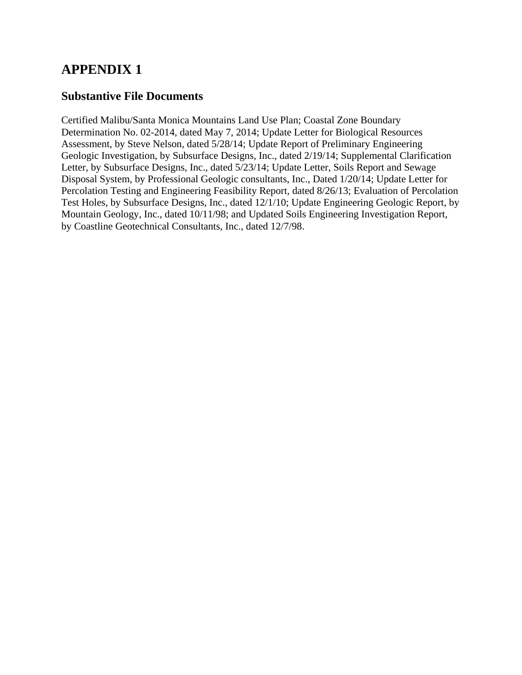## **APPENDIX 1**

## **Substantive File Documents**

Certified Malibu/Santa Monica Mountains Land Use Plan; Coastal Zone Boundary Determination No. 02-2014, dated May 7, 2014; Update Letter for Biological Resources Assessment, by Steve Nelson, dated 5/28/14; Update Report of Preliminary Engineering Geologic Investigation, by Subsurface Designs, Inc., dated 2/19/14; Supplemental Clarification Letter, by Subsurface Designs, Inc., dated 5/23/14; Update Letter, Soils Report and Sewage Disposal System, by Professional Geologic consultants, Inc., Dated 1/20/14; Update Letter for Percolation Testing and Engineering Feasibility Report, dated 8/26/13; Evaluation of Percolation Test Holes, by Subsurface Designs, Inc., dated 12/1/10; Update Engineering Geologic Report, by Mountain Geology, Inc., dated 10/11/98; and Updated Soils Engineering Investigation Report, by Coastline Geotechnical Consultants, Inc., dated 12/7/98.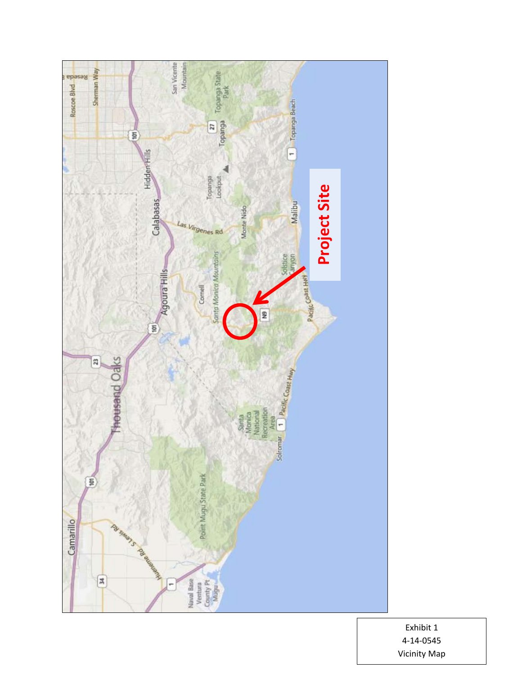

Exhibit 1 4-14-0545 Vicinity Map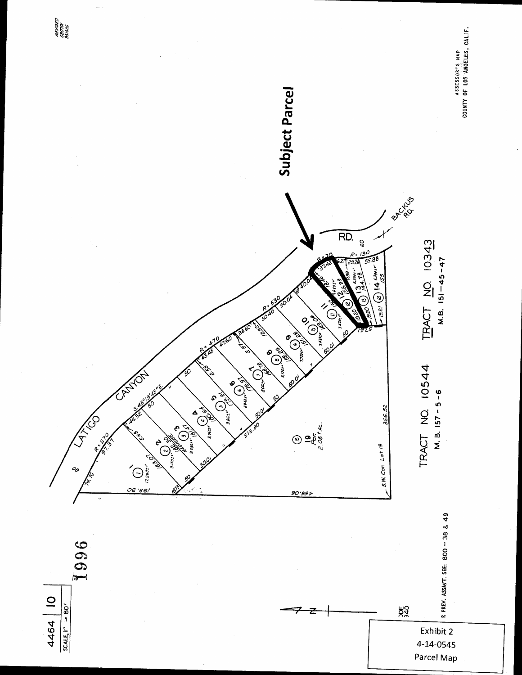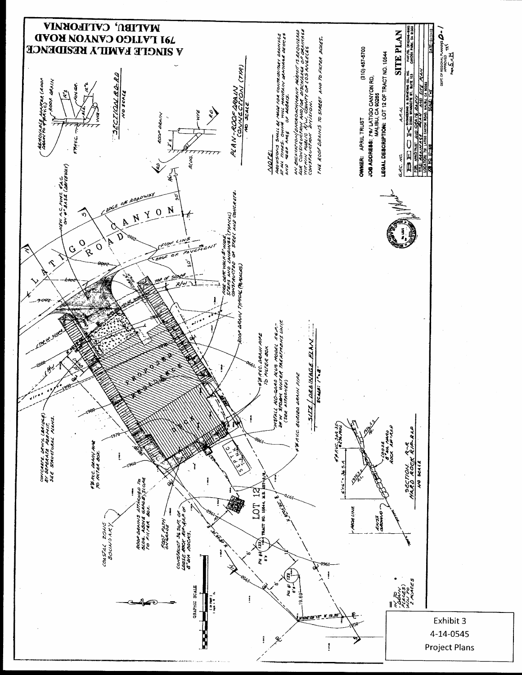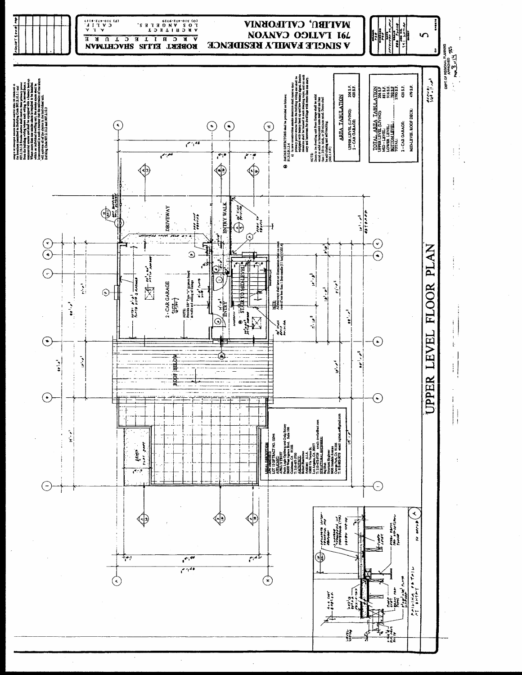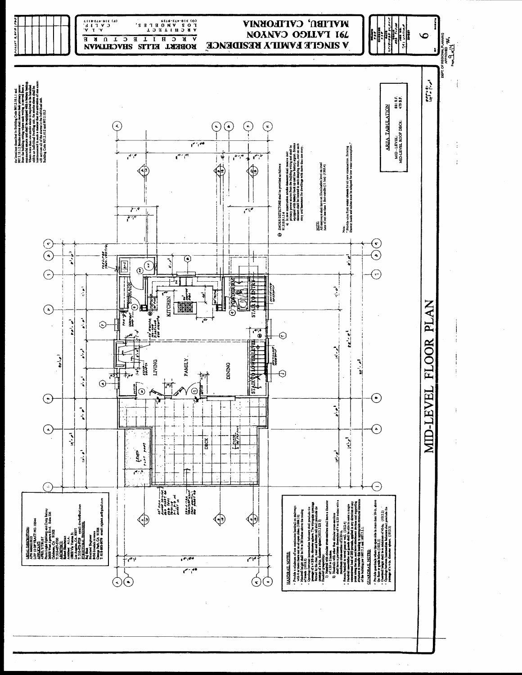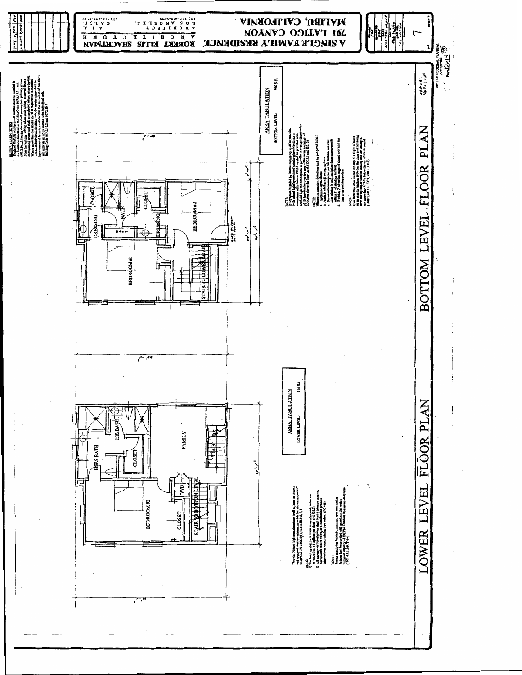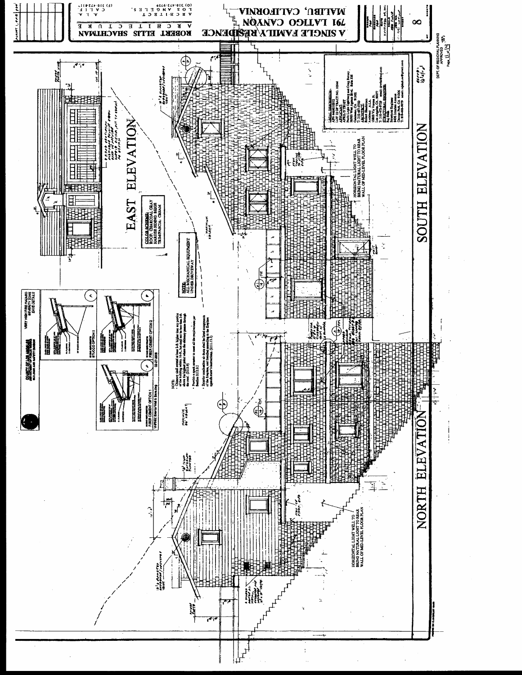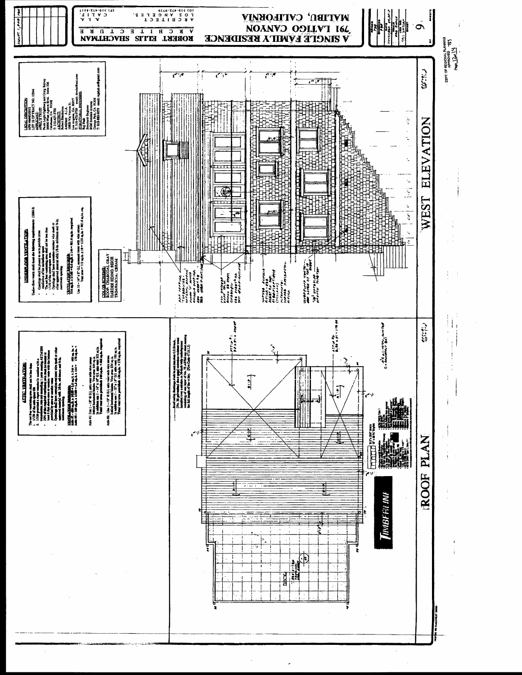